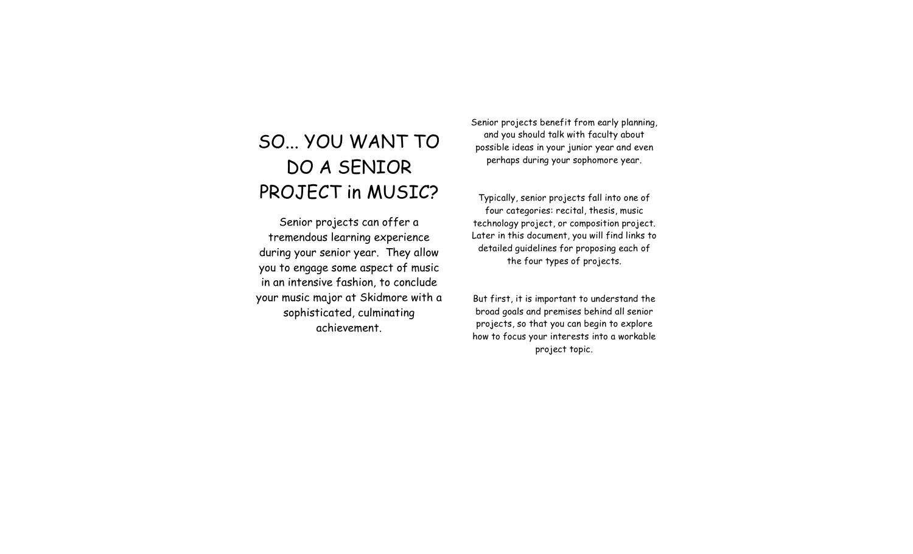## SO... YOU WANT TO DO A SENIOR PROJECT in MUSIC?

Senior projects can offer a tremendous learning experience during your senior year. They allow you to engage some aspect of music in an intensive fashion, to conclude your music major at Skidmore with a sophisticated, culminating achievement.

Senior projects benefit from early planning, and you should talk with faculty about possible ideas in your junior year and even perhaps during your sophomore year.

Typically, senior projects fall into one of four categories: recital, thesis, music technology project, or composition project. Later in this document, you will find links to detailed guidelines for proposing each of the four types of projects.

But first, it is important to understand the broad goals and premises behind all senior projects, so that you can begin to explore how to focus your interests into a workable project topic.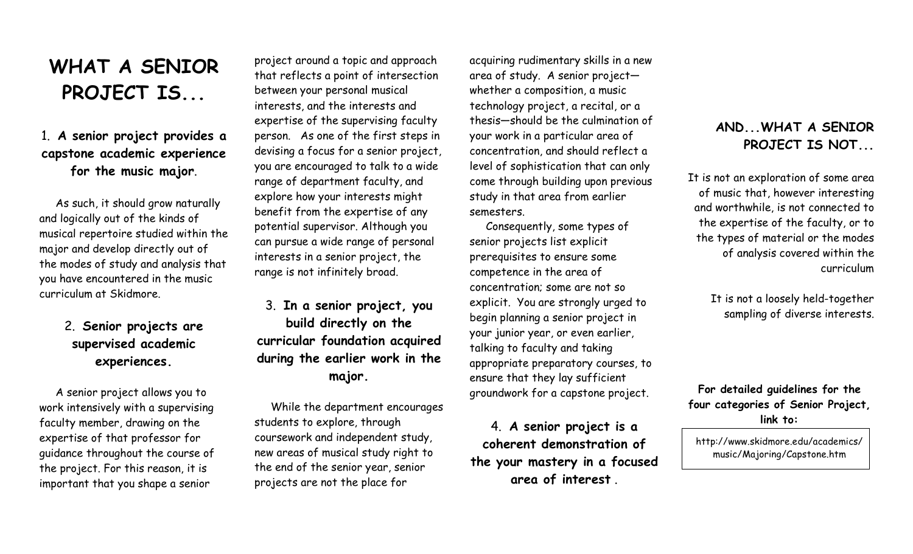# **WHAT A SENIOR PROJECT IS...**

### 1. **A senior project provides a capstone academic experience for the music major**.

As such, it should grow naturally and logically out of the kinds of musical repertoire studied within the major and develop directly out of the modes of study and analysis that you have encountered in the music curriculum at Skidmore.

### 2. **Senior projects are supervised academic experiences.**

A senior project allows you to work intensively with a supervising faculty member, drawing on the expertise of that professor for guidance throughout the course of the project. For this reason, it is important that you shape a senior

project around a topic and approach that reflects a point of intersection between your personal musical interests, and the interests and expertise of the supervising faculty person. As one of the first steps in devising a focus for a senior project, you are encouraged to talk to a wide range of department faculty, and explore how your interests might benefit from the expertise of any potential supervisor. Although you can pursue a wide range of personal interests in a senior project, the range is not infinitely broad.

3. **In a senior project, you build directly on the curricular foundation acquired during the earlier work in the major.**

While the department encourages students to explore, through coursework and independent study, new areas of musical study right to the end of the senior year, senior projects are not the place for

acquiring rudimentary skills in a new area of study. A senior project whether a composition, a music technology project, a recital, or a thesis—should be the culmination of your work in a particular area of concentration, and should reflect a level of sophistication that can only come through building upon previous study in that area from earlier semesters.

Consequently, some types of senior projects list explicit prerequisites to ensure some competence in the area of concentration; some are not so explicit. You are strongly urged to begin planning a senior project in your junior year, or even earlier, talking to faculty and taking appropriate preparatory courses, to ensure that they lay sufficient groundwork for a capstone project.

4. **A senior project is a coherent demonstration of the your mastery in a focused area of interest** .

#### **AND...WHAT A SENIOR PROJECT IS NOT...**

It is not an exploration of some area of music that, however interesting and worthwhile, is not connected to the expertise of the faculty, or to the types of material or the modes of analysis covered within the curriculum

> It is not a loosely held-together sampling of diverse interests.

**For detailed guidelines for the four categories of Senior Project, link to:**

http://www.skidmore.edu/academics/ music/Majoring/Capstone.htm